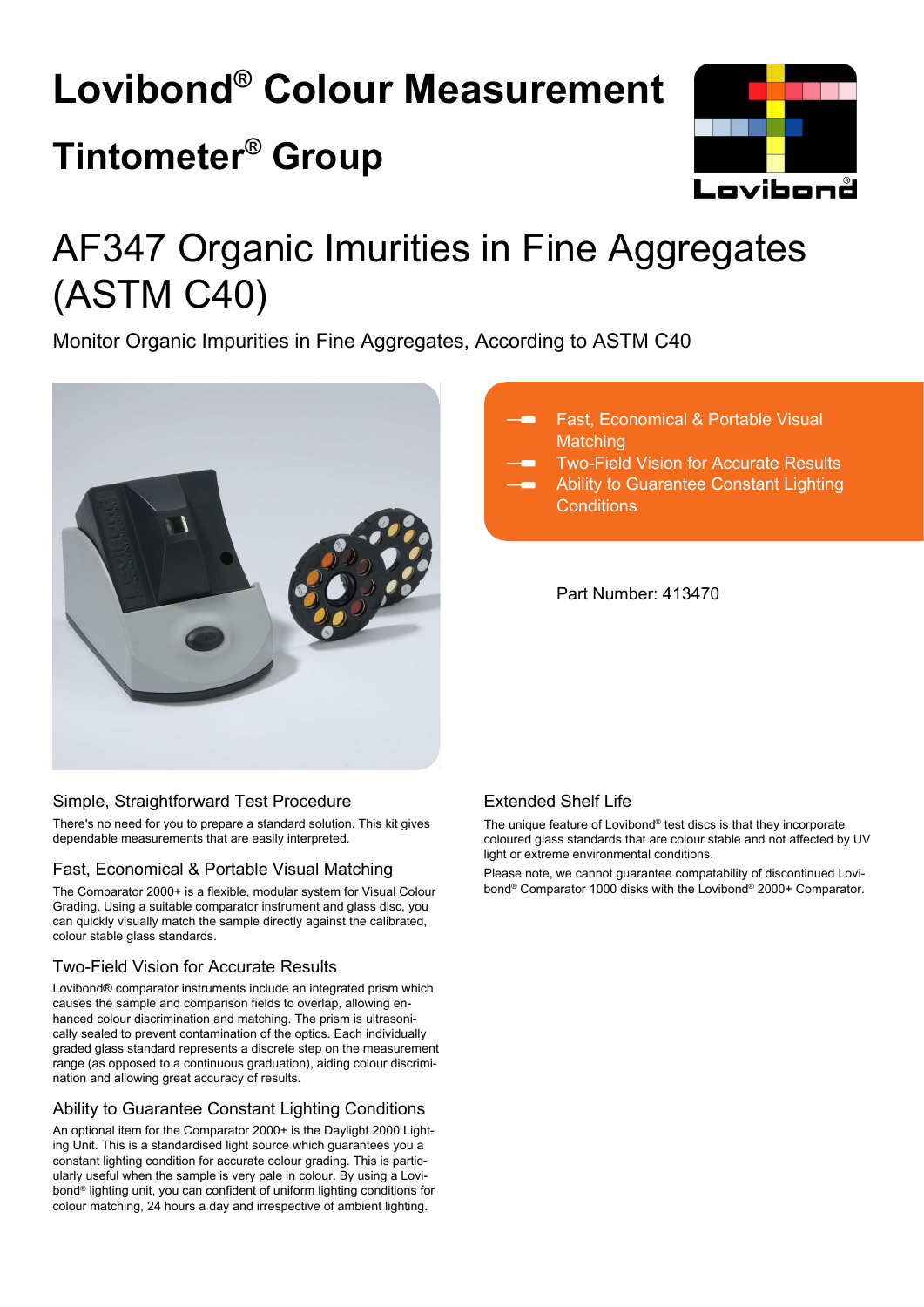# **Lovibond® Colour Measurement Tintometer® Group**



## AF347 Organic Imurities in Fine Aggregates (ASTM C40)

Monitor Organic Impurities in Fine Aggregates, According to ASTM C40



#### Fast, Economical & Portable Visual **Matching**

Two-Field Vision for Accurate Results

Ability to Guarantee Constant Lighting **Conditions** 

Part Number: 413470

#### Simple, Straightforward Test Procedure

There's no need for you to prepare a standard solution. This kit gives dependable measurements that are easily interpreted.

#### Fast, Economical & Portable Visual Matching

The Comparator 2000+ is a flexible, modular system for Visual Colour Grading. Using a suitable comparator instrument and glass disc, you can quickly visually match the sample directly against the calibrated, colour stable glass standards.

#### Two-Field Vision for Accurate Results

Lovibond® comparator instruments include an integrated prism which causes the sample and comparison fields to overlap, allowing enhanced colour discrimination and matching. The prism is ultrasonically sealed to prevent contamination of the optics. Each individually graded glass standard represents a discrete step on the measurement range (as opposed to a continuous graduation), aiding colour discrimination and allowing great accuracy of results.

#### Ability to Guarantee Constant Lighting Conditions

An optional item for the Comparator 2000+ is the Daylight 2000 Lighting Unit. This is a standardised light source which guarantees you a constant lighting condition for accurate colour grading. This is particularly useful when the sample is very pale in colour. By using a Lovibond® lighting unit, you can confident of uniform lighting conditions for colour matching, 24 hours a day and irrespective of ambient lighting.

#### Extended Shelf Life

The unique feature of Lovibond® test discs is that they incorporate coloured glass standards that are colour stable and not affected by UV light or extreme environmental conditions.

Please note, we cannot guarantee compatability of discontinued Lovibond® Comparator 1000 disks with the Lovibond® 2000+ Comparator.